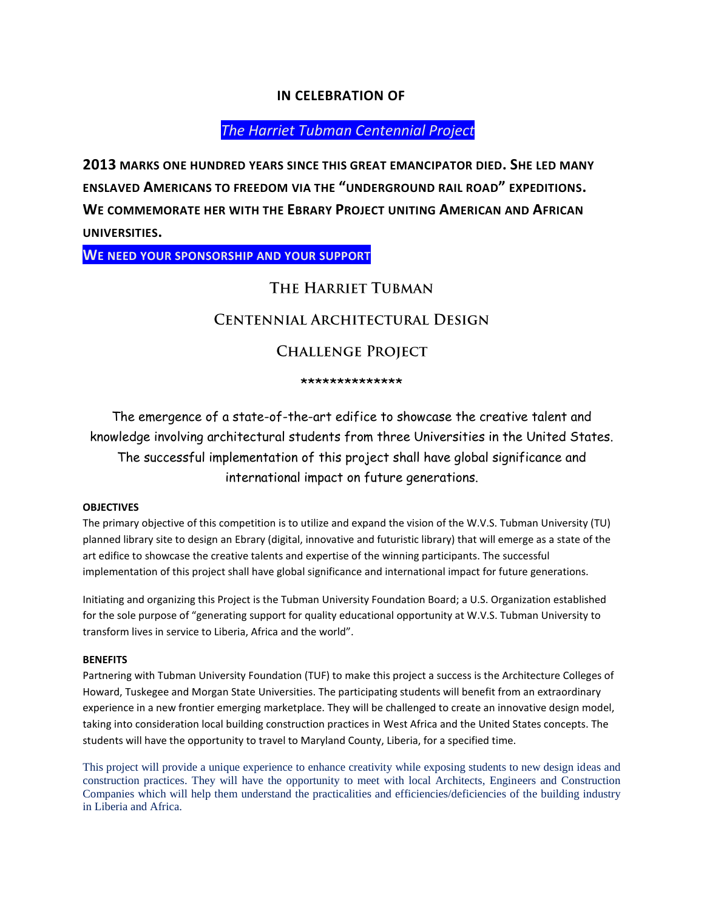### **IN CELEBRATION OF**

# *The Harriet Tubman Centennial Project*

**2013 MARKS ONE HUNDRED YEARS SINCE THIS GREAT EMANCIPATOR DIED. SHE LED MANY ENSLAVED AMERICANS TO FREEDOM VIA THE "UNDERGROUND RAIL ROAD" EXPEDITIONS. WE COMMEMORATE HER WITH THE EBRARY PROJECT UNITING AMERICAN AND AFRICAN UNIVERSITIES.** 

**WE NEED YOUR SPONSORSHIP AND YOUR SUPPORT**

# THE HARRIET TUBMAN

# **CENTENNIAL ARCHITECTURAL DESIGN**

### **CHALLENGE PROJECT**

#### \*\*\*\*\*\*\*\*\*\*\*\*\*\*

The emergence of a state-of-the-art edifice to showcase the creative talent and knowledge involving architectural students from three Universities in the United States. The successful implementation of this project shall have global significance and international impact on future generations.

#### **OBJECTIVES**

The primary objective of this competition is to utilize and expand the vision of the W.V.S. Tubman University (TU) planned library site to design an Ebrary (digital, innovative and futuristic library) that will emerge as a state of the art edifice to showcase the creative talents and expertise of the winning participants. The successful implementation of this project shall have global significance and international impact for future generations.

Initiating and organizing this Project is the Tubman University Foundation Board; a U.S. Organization established for the sole purpose of "generating support for quality educational opportunity at W.V.S. Tubman University to transform lives in service to Liberia, Africa and the world".

#### **BENEFITS**

Partnering with Tubman University Foundation (TUF) to make this project a success is the Architecture Colleges of Howard, Tuskegee and Morgan State Universities. The participating students will benefit from an extraordinary experience in a new frontier emerging marketplace. They will be challenged to create an innovative design model, taking into consideration local building construction practices in West Africa and the United States concepts. The students will have the opportunity to travel to Maryland County, Liberia, for a specified time.

This project will provide a unique experience to enhance creativity while exposing students to new design ideas and construction practices. They will have the opportunity to meet with local Architects, Engineers and Construction Companies which will help them understand the practicalities and efficiencies/deficiencies of the building industry in Liberia and Africa.